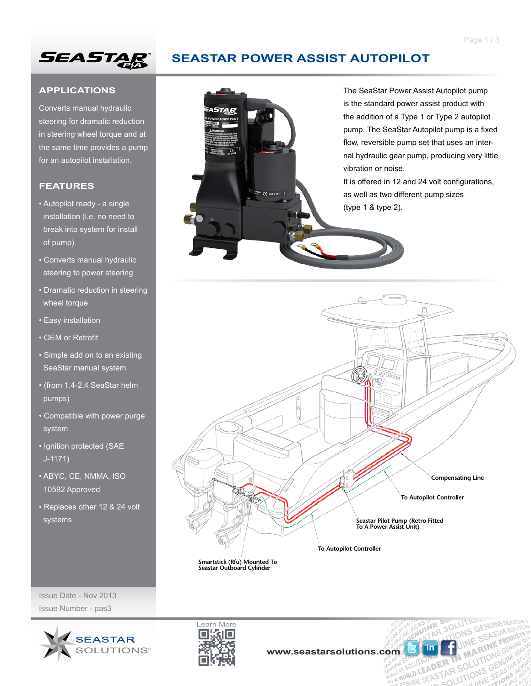

# **SEASTAR POWER ASSIST AUTOPILOT**

 $\frac{1}{2}$ 

### **APPLICATIONS**

Converts manual hydraulic steering for dramatic reduction in steering wheel torque and at the same time provides a pump for an autopilot installation.

#### **FEATURES**

- Autopilot ready a single installation (i.e. no need to break into system for install of pump)
- Converts manual hydraulic steering to power steering
- Dramatic reduction in steering wheel torque
- Easy installation
- OEM or Retrofit
- Simple add on to an existing SeaStar manual system
- (from 1.4-2.4 SeaStar helm pumps)
- Compatible with power purge system
- Ignition protected (SAE J-1171)
- ABYC, CE, NMMA, ISO 10592 Approved
- Replaces other 12 & 24 volt systems





**Smartstick (Rfu) Mounted To Seastar Outboard Cylinder**

Issue Date - Nov 2013 Issue Number - pas3





NE SOLUTION

**ENGINE SEAST ARE SEARCH THE SEARCH THE SEAST ARE SOLUTIONS GENUINE SEARCH THE SEARCH THE SEARCH THE SEARCH THE SEARCH THE SEARCH THE SEARCH THE SEARCH THE SEARCH THE SEARCH THE SEARCH THE SEARCH THE SEARCH THE SEARCH THE DER IN MARINE** SENUITE SEARCH

ENUINE S

**SOLUTION**<br>SOLUTIONS GENUINE SEASTAR

**ONS GENOMITAR SOLUTION**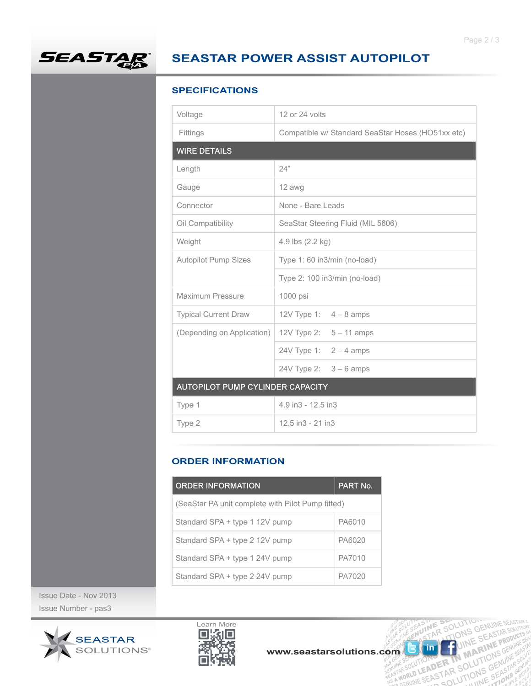

# **SEASTAR POWER ASSIST AUTOPILOT**

## **SPECIFICATIONS**

| Voltage                          | 12 or 24 volts                                    |  |
|----------------------------------|---------------------------------------------------|--|
| Fittings                         | Compatible w/ Standard SeaStar Hoses (HO51xx etc) |  |
| <b>WIRE DETAILS</b>              |                                                   |  |
| Length                           | 24"                                               |  |
| Gauge                            | 12 awg                                            |  |
| Connector                        | None - Bare Leads                                 |  |
| Oil Compatibility                | SeaStar Steering Fluid (MIL 5606)                 |  |
| Weight                           | 4.9 lbs (2.2 kg)                                  |  |
| <b>Autopilot Pump Sizes</b>      | Type 1: 60 in3/min (no-load)                      |  |
|                                  | Type 2: 100 in3/min (no-load)                     |  |
| Maximum Pressure                 | 1000 psi                                          |  |
| <b>Typical Current Draw</b>      | 12V Type 1: $4 - 8$ amps                          |  |
| (Depending on Application)       | 12V Type 2: $5 - 11$ amps                         |  |
|                                  | 24V Type 1: $2 - 4$ amps                          |  |
|                                  | 24V Type 2: $3 - 6$ amps                          |  |
| AUTOPILOT PUMP CYLINDER CAPACITY |                                                   |  |
| Type 1                           | 4.9 in3 - 12.5 in3                                |  |
| Type 2                           | $12.5$ in $3 - 21$ in $3$                         |  |

#### **ORDER INFORMATION**

| <b>ORDER INFORMATION</b>                          | PART No. |  |
|---------------------------------------------------|----------|--|
| (SeaStar PA unit complete with Pilot Pump fitted) |          |  |
| Standard SPA + type 1 12V pump                    | PA6010   |  |
| Standard SPA + type 2 12V pump                    | PA6020   |  |
| Standard SPA + type 1 24V pump                    | PA7010   |  |
| Standard SPA + type 2 24V pump                    | PA7020   |  |

Issue Date - Nov 2013 Issue Number - pas3